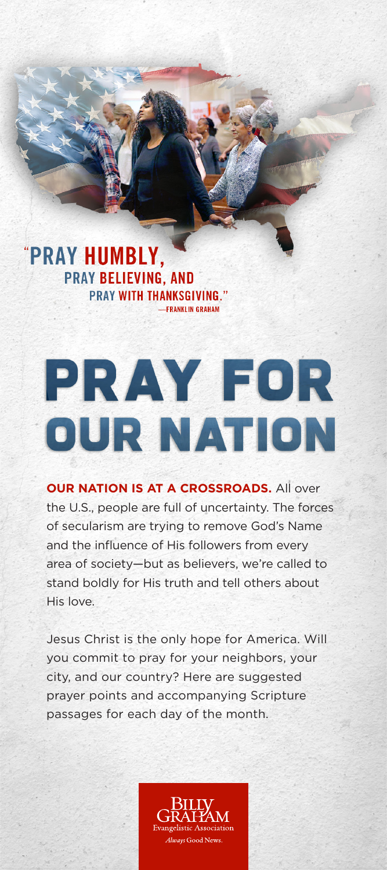## "PRAY HUMBLY, **PRAY BELIEVING, AND PRAY WITH THANKSGIVING."** -FRANKLIN GRAHAM

## **PRAY FOR OUR NATION**

**OUR NATION IS AT A CROSSROADS.** All over the U.S., people are full of uncertainty. The forces of secularism are trying to remove God's Name and the influence of His followers from every area of society—but as believers, we're called to stand boldly for His truth and tell others about His love.

Jesus Christ is the only hope for America. Will you commit to pray for your neighbors, your city, and our country? Here are suggested prayer points and accompanying Scripture passages for each day of the month.

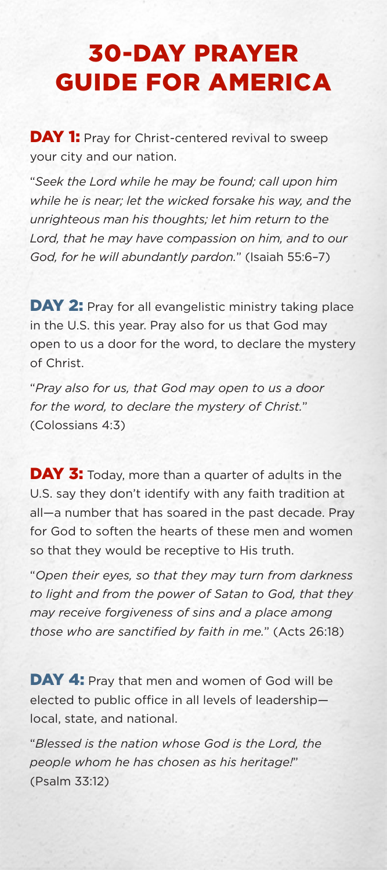## 30-DAY PRAYER GUIDE FOR AMERICA

**DAY 1:** Pray for Christ-centered revival to sweep your city and our nation.

"*Seek the Lord while he may be found; call upon him while he is near; let the wicked forsake his way, and the unrighteous man his thoughts; let him return to the Lord, that he may have compassion on him, and to our God, for he will abundantly pardon.*" (Isaiah 55:6–7)

DAY 2: Pray for all evangelistic ministry taking place in the U.S. this year. Pray also for us that God may open to us a door for the word, to declare the mystery of Christ.

"*Pray also for us, that God may open to us a door for the word, to declare the mystery of Christ.*" (Colossians 4:3)

DAY 3: Today, more than a quarter of adults in the U.S. say they don't identify with any faith tradition at all—a number that has soared in the past decade. Pray for God to soften the hearts of these men and women so that they would be receptive to His truth.

"*Open their eyes, so that they may turn from darkness to light and from the power of Satan to God, that they may receive forgiveness of sins and a place among those who are sanctified by faith in me.*" (Acts 26:18)

DAY 4: Pray that men and women of God will be elected to public office in all levels of leadership local, state, and national.

"*Blessed is the nation whose God is the Lord, the people whom he has chosen as his heritage!*" (Psalm 33:12)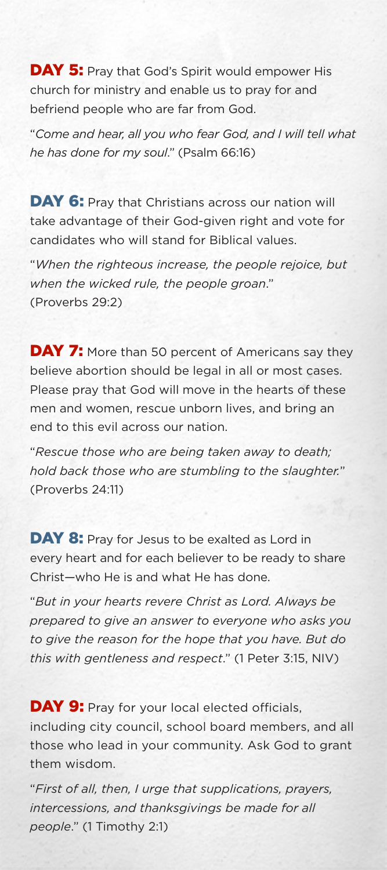**DAY 5:** Pray that God's Spirit would empower His church for ministry and enable us to pray for and befriend people who are far from God.

"*Come and hear, all you who fear God, and I will tell what he has done for my soul*." (Psalm 66:16)

DAY 6: Pray that Christians across our nation will take advantage of their God-given right and vote for candidates who will stand for Biblical values.

"*When the righteous increase, the people rejoice, but when the wicked rule, the people groan*." (Proverbs 29:2)

**DAY 7:** More than 50 percent of Americans say they believe abortion should be legal in all or most cases. Please pray that God will move in the hearts of these men and women, rescue unborn lives, and bring an end to this evil across our nation.

"*Rescue those who are being taken away to death; hold back those who are stumbling to the slaughter.*" (Proverbs 24:11)

DAY 8: Pray for Jesus to be exalted as Lord in every heart and for each believer to be ready to share Christ—who He is and what He has done.

"*But in your hearts revere Christ as Lord. Always be prepared to give an answer to everyone who asks you to give the reason for the hope that you have. But do this with gentleness and respect*." (1 Peter 3:15, NIV)

DAY 9: Pray for your local elected officials, including city council, school board members, and all those who lead in your community. Ask God to grant them wisdom.

"*First of all, then, I urge that supplications, prayers, intercessions, and thanksgivings be made for all people*." (1 Timothy 2:1)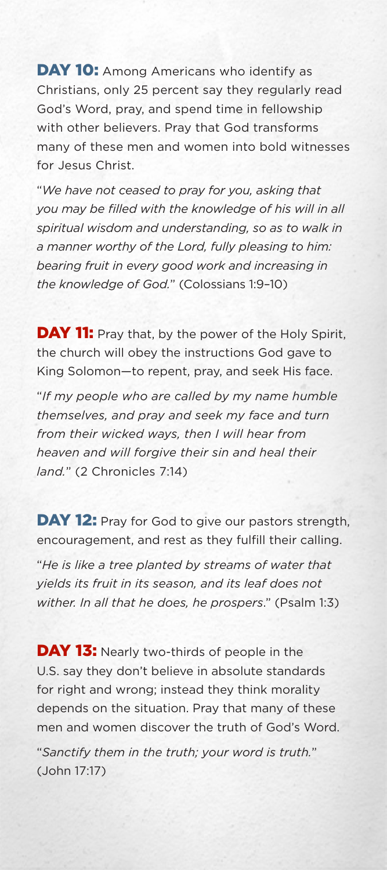DAY 10: Among Americans who identify as Christians, only 25 percent say they regularly read God's Word, pray, and spend time in fellowship with other believers. Pray that God transforms many of these men and women into bold witnesses for Jesus Christ.

"*We have not ceased to pray for you, asking that you may be filled with the knowledge of his will in all spiritual wisdom and understanding, so as to walk in a manner worthy of the Lord, fully pleasing to him: bearing fruit in every good work and increasing in the knowledge of God.*" (Colossians 1:9–10)

DAY 11: Pray that, by the power of the Holy Spirit, the church will obey the instructions God gave to King Solomon—to repent, pray, and seek His face.

"*If my people who are called by my name humble themselves, and pray and seek my face and turn from their wicked ways, then I will hear from heaven and will forgive their sin and heal their land.*" (2 Chronicles 7:14)

DAY 12: Pray for God to give our pastors strength, encouragement, and rest as they fulfill their calling.

"*He is like a tree planted by streams of water that yields its fruit in its season, and its leaf does not wither. In all that he does, he prospers*." (Psalm 1:3)

**DAY 13:** Nearly two-thirds of people in the U.S. say they don't believe in absolute standards for right and wrong; instead they think morality depends on the situation. Pray that many of these men and women discover the truth of God's Word.

"*Sanctify them in the truth; your word is truth.*" (John 17:17)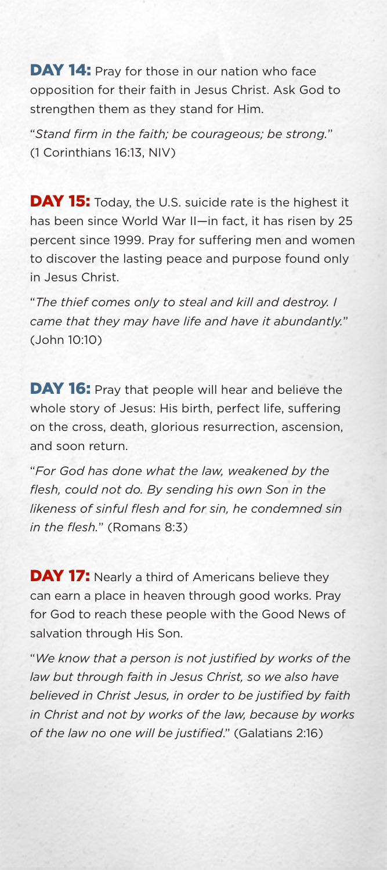DAY 14: Pray for those in our nation who face opposition for their faith in Jesus Christ. Ask God to strengthen them as they stand for Him.

"*Stand firm in the faith; be courageous; be strong.*" (1 Corinthians 16:13, NIV)

**DAY 15:** Today, the U.S. suicide rate is the highest it has been since World War II-in fact, it has risen by 25 percent since 1999. Pray for suffering men and women to discover the lasting peace and purpose found only in Jesus Christ.

"*The thief comes only to steal and kill and destroy. I came that they may have life and have it abundantly.*" (John 10:10)

DAY 16: Pray that people will hear and believe the whole story of Jesus: His birth, perfect life, suffering on the cross, death, glorious resurrection, ascension, and soon return.

"*For God has done what the law, weakened by the flesh, could not do. By sending his own Son in the likeness of sinful flesh and for sin, he condemned sin in the flesh.*" (Romans 8:3)

**DAY 17:** Nearly a third of Americans believe they can earn a place in heaven through good works. Pray for God to reach these people with the Good News of salvation through His Son.

"*We know that a person is not justified by works of the law but through faith in Jesus Christ, so we also have believed in Christ Jesus, in order to be justified by faith in Christ and not by works of the law, because by works of the law no one will be justified*." (Galatians 2:16)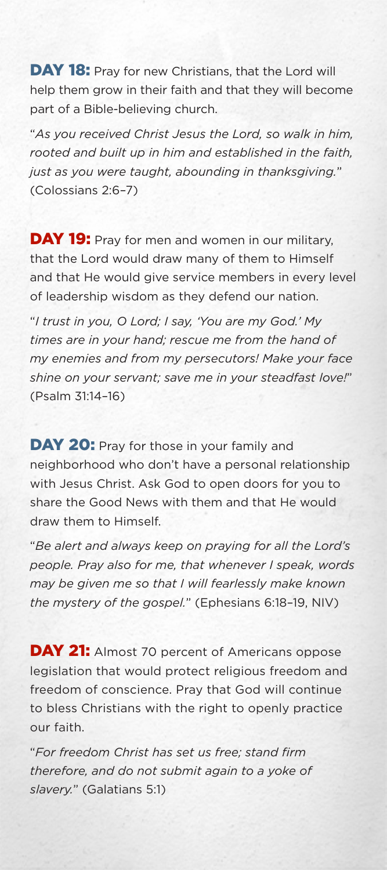DAY 18: Pray for new Christians, that the Lord will help them grow in their faith and that they will become part of a Bible-believing church.

"*As you received Christ Jesus the Lord, so walk in him, rooted and built up in him and established in the faith, just as you were taught, abounding in thanksgiving.*" (Colossians 2:6–7)

DAY 19: Pray for men and women in our military, that the Lord would draw many of them to Himself and that He would give service members in every level of leadership wisdom as they defend our nation.

"*I trust in you, O Lord; I say, 'You are my God.' My times are in your hand; rescue me from the hand of my enemies and from my persecutors! Make your face shine on your servant; save me in your steadfast love!*" (Psalm 31:14–16)

DAY 20: Pray for those in your family and neighborhood who don't have a personal relationship with Jesus Christ. Ask God to open doors for you to share the Good News with them and that He would draw them to Himself.

"*Be alert and always keep on praying for all the Lord's people. Pray also for me, that whenever I speak, words may be given me so that I will fearlessly make known the mystery of the gospel.*" (Ephesians 6:18–19, NIV)

**DAY 21:** Almost 70 percent of Americans oppose legislation that would protect religious freedom and freedom of conscience. Pray that God will continue to bless Christians with the right to openly practice our faith.

"*For freedom Christ has set us free; stand firm therefore, and do not submit again to a yoke of slavery.*" (Galatians 5:1)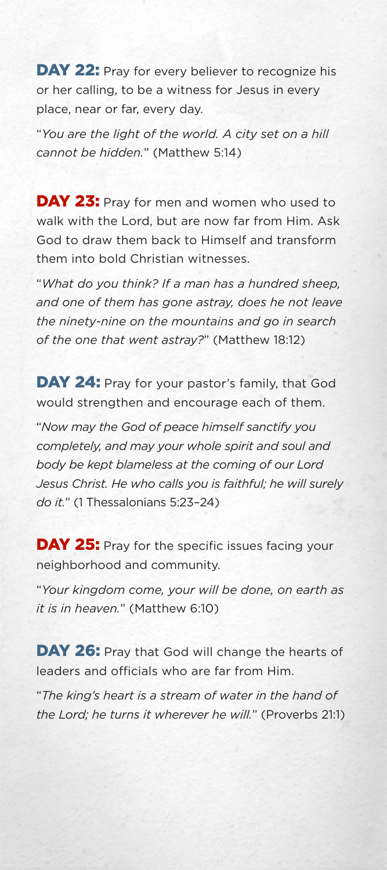DAY 22: Pray for every believer to recognize his or her calling, to be a witness for Jesus in every place, near or far, every day.

"*You are the light of the world. A city set on a hill cannot be hidden.*" (Matthew 5:14)

DAY 23: Pray for men and women who used to walk with the Lord, but are now far from Him. Ask God to draw them back to Himself and transform them into bold Christian witnesses.

"*What do you think? If a man has a hundred sheep, and one of them has gone astray, does he not leave the ninety-nine on the mountains and go in search of the one that went astray?*" (Matthew 18:12)

DAY 24: Pray for your pastor's family, that God would strengthen and encourage each of them.

"*Now may the God of peace himself sanctify you completely, and may your whole spirit and soul and body be kept blameless at the coming of our Lord Jesus Christ. He who calls you is faithful; he will surely do it.*" (1 Thessalonians 5:23–24)

**DAY 25:** Pray for the specific issues facing your neighborhood and community.

"*Your kingdom come, your will be done, on earth as it is in heaven.*" (Matthew 6:10)

DAY 26: Pray that God will change the hearts of leaders and officials who are far from Him.

"*The king's heart is a stream of water in the hand of the Lord; he turns it wherever he will.*" (Proverbs 21:1)